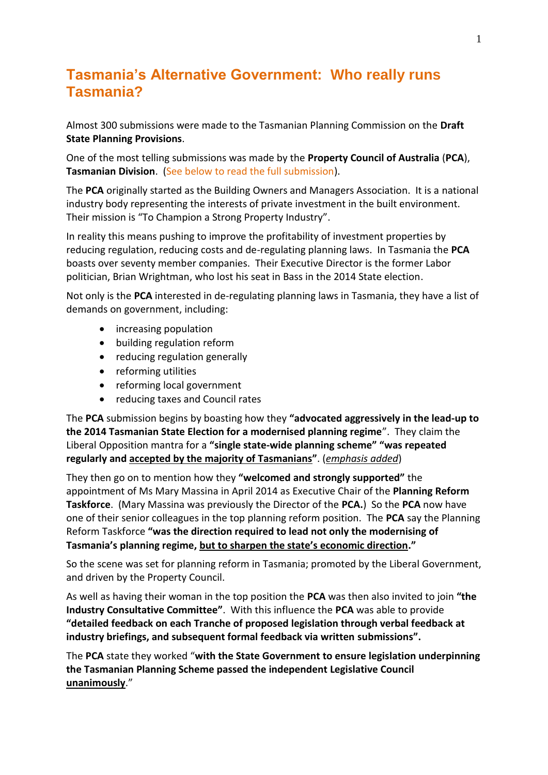# **Tasmania's Alternative Government: Who really runs Tasmania?**

Almost 300 submissions were made to the Tasmanian Planning Commission on the **Draft State Planning Provisions**.

One of the most telling submissions was made by the **Property Council of Australia** (**PCA**), **Tasmanian Division**. (See below to read the full submission).

The **PCA** originally started as the Building Owners and Managers Association. It is a national industry body representing the interests of private investment in the built environment. Their mission is "To Champion a Strong Property Industry".

In reality this means pushing to improve the profitability of investment properties by reducing regulation, reducing costs and de-regulating planning laws. In Tasmania the **PCA**  boasts over seventy member companies. Their Executive Director is the former Labor politician, Brian Wrightman, who lost his seat in Bass in the 2014 State election.

Not only is the **PCA** interested in de-regulating planning laws in Tasmania, they have a list of demands on government, including:

- increasing population
- building regulation reform
- reducing regulation generally
- reforming utilities
- reforming local government
- reducing taxes and Council rates

The **PCA** submission begins by boasting how they **"advocated aggressively in the lead-up to the 2014 Tasmanian State Election for a modernised planning regime**". They claim the Liberal Opposition mantra for a **"single state-wide planning scheme" "was repeated regularly and accepted by the majority of Tasmanians"**. (*emphasis added*)

They then go on to mention how they **"welcomed and strongly supported"** the appointment of Ms Mary Massina in April 2014 as Executive Chair of the **Planning Reform Taskforce**. (Mary Massina was previously the Director of the **PCA.**) So the **PCA** now have one of their senior colleagues in the top planning reform position. The **PCA** say the Planning Reform Taskforce **"was the direction required to lead not only the modernising of Tasmania's planning regime, but to sharpen the state's economic direction."**

So the scene was set for planning reform in Tasmania; promoted by the Liberal Government, and driven by the Property Council.

As well as having their woman in the top position the **PCA** was then also invited to join **"the Industry Consultative Committee"**. With this influence the **PCA** was able to provide **"detailed feedback on each Tranche of proposed legislation through verbal feedback at industry briefings, and subsequent formal feedback via written submissions".**

The **PCA** state they worked "**with the State Government to ensure legislation underpinning the Tasmanian Planning Scheme passed the independent Legislative Council unanimously**."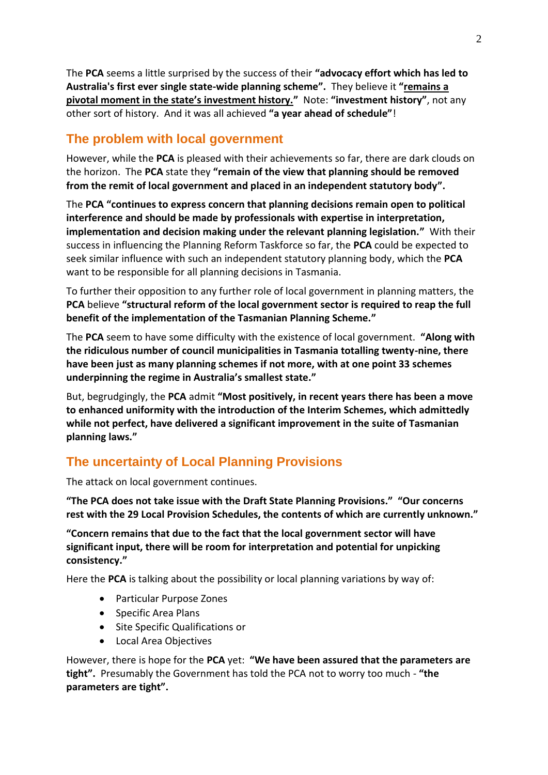The **PCA** seems a little surprised by the success of their **"advocacy effort which has led to Australia's first ever single state-wide planning scheme".** They believe it **"remains a pivotal moment in the state's investment history."** Note: **"investment history"**, not any other sort of history. And it was all achieved **"a year ahead of schedule"**!

### **The problem with local government**

However, while the **PCA** is pleased with their achievements so far, there are dark clouds on the horizon. The **PCA** state they **"remain of the view that planning should be removed from the remit of local government and placed in an independent statutory body".**

The **PCA "continues to express concern that planning decisions remain open to political interference and should be made by professionals with expertise in interpretation, implementation and decision making under the relevant planning legislation."** With their success in influencing the Planning Reform Taskforce so far, the **PCA** could be expected to seek similar influence with such an independent statutory planning body, which the **PCA** want to be responsible for all planning decisions in Tasmania.

To further their opposition to any further role of local government in planning matters, the **PCA** believe **"structural reform of the local government sector is required to reap the full benefit of the implementation of the Tasmanian Planning Scheme."**

The **PCA** seem to have some difficulty with the existence of local government. **"Along with the ridiculous number of council municipalities in Tasmania totalling twenty-nine, there have been just as many planning schemes if not more, with at one point 33 schemes underpinning the regime in Australia's smallest state."**

But, begrudgingly, the **PCA** admit **"Most positively, in recent years there has been a move to enhanced uniformity with the introduction of the Interim Schemes, which admittedly while not perfect, have delivered a significant improvement in the suite of Tasmanian planning laws."**

## **The uncertainty of Local Planning Provisions**

The attack on local government continues.

**"The PCA does not take issue with the Draft State Planning Provisions." "Our concerns rest with the 29 Local Provision Schedules, the contents of which are currently unknown."**

**"Concern remains that due to the fact that the local government sector will have significant input, there will be room for interpretation and potential for unpicking consistency."**

Here the **PCA** is talking about the possibility or local planning variations by way of:

- Particular Purpose Zones
- Specific Area Plans
- Site Specific Qualifications or
- Local Area Objectives

However, there is hope for the **PCA** yet: **"We have been assured that the parameters are tight".** Presumably the Government has told the PCA not to worry too much - **"the parameters are tight".**